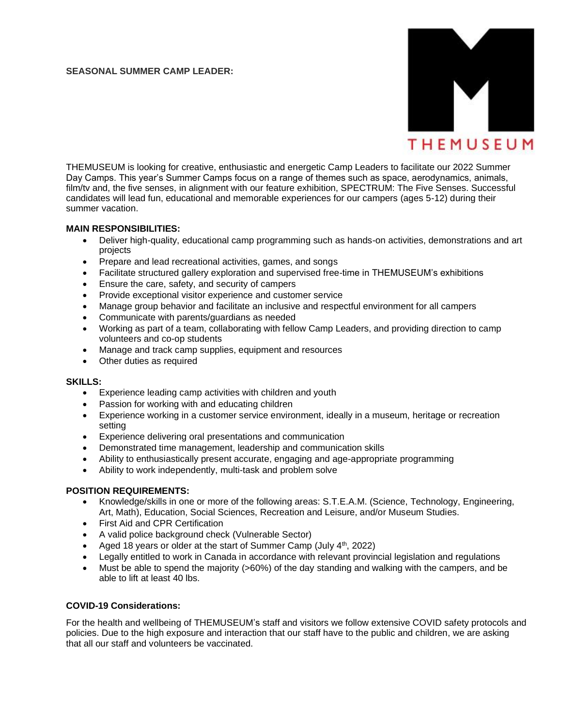### **SEASONAL SUMMER CAMP LEADER:**



THEMUSEUM is looking for creative, enthusiastic and energetic Camp Leaders to facilitate our 2022 Summer Day Camps. This year's Summer Camps focus on a range of themes such as space, aerodynamics, animals, film/tv and, the five senses, in alignment with our feature exhibition, SPECTRUM: The Five Senses. Successful candidates will lead fun, educational and memorable experiences for our campers (ages 5-12) during their summer vacation.

#### **MAIN RESPONSIBILITIES:**

- Deliver high-quality, educational camp programming such as hands-on activities, demonstrations and art projects
- Prepare and lead recreational activities, games, and songs
- Facilitate structured gallery exploration and supervised free-time in THEMUSEUM's exhibitions
- Ensure the care, safety, and security of campers
- Provide exceptional visitor experience and customer service
- Manage group behavior and facilitate an inclusive and respectful environment for all campers
- Communicate with parents/guardians as needed
- Working as part of a team, collaborating with fellow Camp Leaders, and providing direction to camp volunteers and co-op students
- Manage and track camp supplies, equipment and resources
- Other duties as required

#### **SKILLS:**

- Experience leading camp activities with children and youth
- Passion for working with and educating children
- Experience working in a customer service environment, ideally in a museum, heritage or recreation setting
- Experience delivering oral presentations and communication
- Demonstrated time management, leadership and communication skills
- Ability to enthusiastically present accurate, engaging and age-appropriate programming
- Ability to work independently, multi-task and problem solve

## **POSITION REQUIREMENTS:**

- Knowledge/skills in one or more of the following areas: S.T.E.A.M. (Science, Technology, Engineering, Art, Math), Education, Social Sciences, Recreation and Leisure, and/or Museum Studies.
- First Aid and CPR Certification
- A valid police background check (Vulnerable Sector)
- Aged 18 years or older at the start of Summer Camp (July 4<sup>th</sup>, 2022)
- Legally entitled to work in Canada in accordance with relevant provincial legislation and regulations
- Must be able to spend the majority (>60%) of the day standing and walking with the campers, and be able to lift at least 40 lbs.

## **COVID-19 Considerations:**

For the health and wellbeing of THEMUSEUM's staff and visitors we follow extensive COVID safety protocols and policies. Due to the high exposure and interaction that our staff have to the public and children, we are asking that all our staff and volunteers be vaccinated.